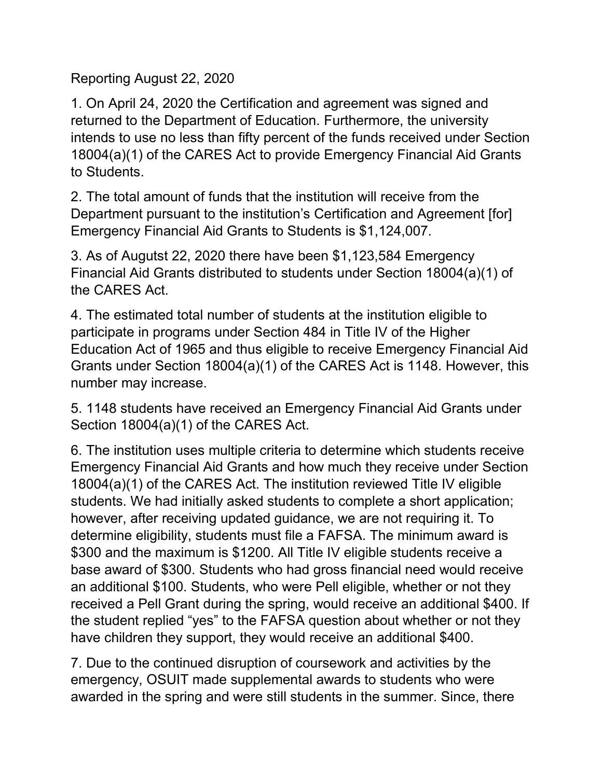Reporting August 22, 2020

1. On April 24, 2020 the Certification and agreement was signed and returned to the Department of Education. Furthermore, the university intends to use no less than fifty percent of the funds received under Section 18004(a)(1) of the CARES Act to provide Emergency Financial Aid Grants to Students.

2. The total amount of funds that the institution will receive from the Department pursuant to the institution's Certification and Agreement [for] Emergency Financial Aid Grants to Students is \$1,124,007.

3. As of Augutst 22, 2020 there have been \$1,123,584 Emergency Financial Aid Grants distributed to students under Section 18004(a)(1) of the CARES Act.

4. The estimated total number of students at the institution eligible to participate in programs under Section 484 in Title IV of the Higher Education Act of 1965 and thus eligible to receive Emergency Financial Aid Grants under Section 18004(a)(1) of the CARES Act is 1148. However, this number may increase.

5. 1148 students have received an Emergency Financial Aid Grants under Section 18004(a)(1) of the CARES Act.

6. The institution uses multiple criteria to determine which students receive Emergency Financial Aid Grants and how much they receive under Section 18004(a)(1) of the CARES Act. The institution reviewed Title IV eligible students. We had initially asked students to complete a short application; however, after receiving updated guidance, we are not requiring it. To determine eligibility, students must file a FAFSA. The minimum award is \$300 and the maximum is \$1200. All Title IV eligible students receive a base award of \$300. Students who had gross financial need would receive an additional \$100. Students, who were Pell eligible, whether or not they received a Pell Grant during the spring, would receive an additional \$400. If the student replied "yes" to the FAFSA question about whether or not they have children they support, they would receive an additional \$400.

7. Due to the continued disruption of coursework and activities by the emergency, OSUIT made supplemental awards to students who were awarded in the spring and were still students in the summer. Since, there